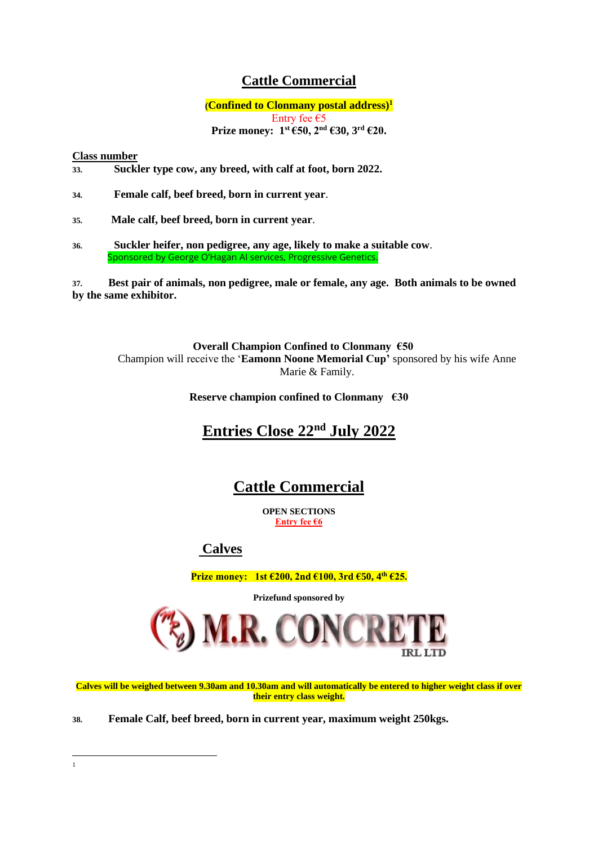## **Cattle Commercial**

**(Confined to Clonmany postal address) 1** Entry fee €5 **Prize money:**  $1^{st}$  **€50, 2<sup>nd</sup> €30, 3<sup>rd</sup> €20.** 

#### **Class number**

1

- **33. Suckler type cow, any breed, with calf at foot, born 2022.**
- **34. Female calf, beef breed, born in current year**.
- **35. Male calf, beef breed, born in current year**.
- **36. Suckler heifer, non pedigree, any age, likely to make a suitable cow**. Sponsored by George O'Hagan AI services, Progressive Genetics.

**37. Best pair of animals, non pedigree, male or female, any age. Both animals to be owned by the same exhibitor.**

 **Overall Champion Confined to Clonmany €50** Champion will receive the '**Eamonn Noone Memorial Cup'** sponsored by his wife Anne Marie & Family.

**Reserve champion confined to Clonmany €30**

# **Entries Close 22nd July 2022**

# **Cattle Commercial**

**OPEN SECTIONS Entry fee €6**

**Calves**

**Prize money: 1st €200, 2nd €100, 3rd €50, 4th €25.**

**Prizefund sponsored by** 



**Calves will be weighed between 9.30am and 10.30am and will automatically be entered to higher weight class if over their entry class weight.**

**38. Female Calf, beef breed, born in current year, maximum weight 250kgs.**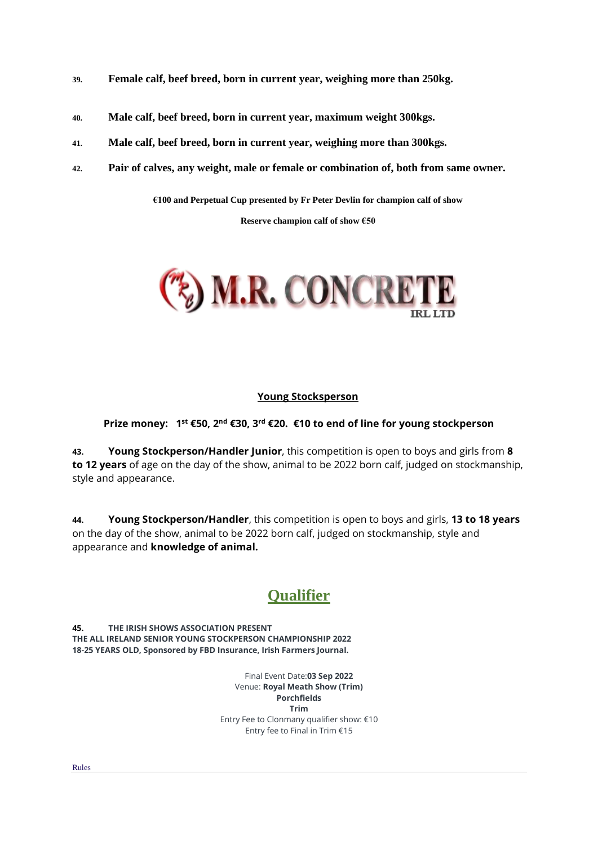- **39. Female calf, beef breed, born in current year, weighing more than 250kg.**
- **40. Male calf, beef breed, born in current year, maximum weight 300kgs.**
- **41. Male calf, beef breed, born in current year, weighing more than 300kgs.**
- **42. Pair of calves, any weight, male or female or combination of, both from same owner.**

**€100 and Perpetual Cup presented by Fr Peter Devlin for champion calf of show**

**Reserve champion calf of show €50**



#### **Young Stocksperson**

**Prize money: 1st €50, 2nd €30, 3rd €20. €10 to end of line for young stockperson**

**43. Young Stockperson/Handler Junior**, this competition is open to boys and girls from **8 to 12 years** of age on the day of the show, animal to be 2022 born calf, judged on stockmanship, style and appearance.

**44. Young Stockperson/Handler**, this competition is open to boys and girls, **13 to 18 years** on the day of the show, animal to be 2022 born calf, judged on stockmanship, style and appearance and **knowledge of animal.**

# **Qualifier**

**45. THE IRISH SHOWS ASSOCIATION PRESENT THE ALL IRELAND SENIOR YOUNG STOCKPERSON CHAMPIONSHIP 2022 18-25 YEARS OLD, Sponsored by FBD Insurance, Irish Farmers Journal.**

> Final Event Date:**03 Sep 2022** Venue: **Royal Meath Show (Trim) Porchfields Trim** Entry Fee to Clonmany qualifier show: €10 Entry fee to Final in Trim €15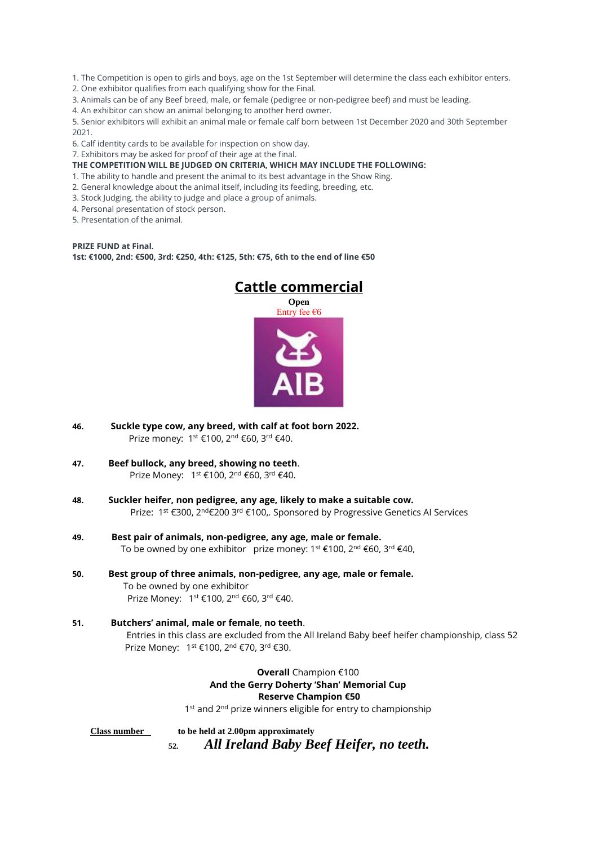1. The Competition is open to girls and boys, age on the 1st September will determine the class each exhibitor enters.

2. One exhibitor qualifies from each qualifying show for the Final.

3. Animals can be of any Beef breed, male, or female (pedigree or non-pedigree beef) and must be leading.

4. An exhibitor can show an animal belonging to another herd owner.

5. Senior exhibitors will exhibit an animal male or female calf born between 1st December 2020 and 30th September 2021.

6. Calf identity cards to be available for inspection on show day.

7. Exhibitors may be asked for proof of their age at the final.

**THE COMPETITION WILL BE JUDGED ON CRITERIA, WHICH MAY INCLUDE THE FOLLOWING:**

- 1. The ability to handle and present the animal to its best advantage in the Show Ring.
- 2. General knowledge about the animal itself, including its feeding, breeding, etc.
- 3. Stock Judging, the ability to judge and place a group of animals.
- 4. Personal presentation of stock person.
- 5. Presentation of the animal.

**PRIZE FUND at Final. 1st: €1000, 2nd: €500, 3rd: €250, 4th: €125, 5th: €75, 6th to the end of line €50**



- **46. Suckle type cow, any breed, with calf at foot born 2022.** Prize money: 1<sup>st</sup> €100, 2<sup>nd</sup> €60, 3<sup>rd</sup> €40.
- **47. Beef bullock, any breed, showing no teeth**. Prize Money: 1<sup>st</sup> €100, 2<sup>nd</sup> €60, 3<sup>rd</sup> €40.
- **48. Suckler heifer, non pedigree, any age, likely to make a suitable cow.** Prize: 1<sup>st</sup> €300, 2<sup>nd</sup>€200 3<sup>rd</sup> €100,. Sponsored by Progressive Genetics Al Services
- **49. Best pair of animals, non-pedigree, any age, male or female.** To be owned by one exhibitor prize money:  $1^{st}$  €100,  $2^{nd}$  €60,  $3^{rd}$  €40,
- **50. Best group of three animals, non-pedigree, any age, male or female.** To be owned by one exhibitor Prize Money: 1<sup>st</sup> €100, 2<sup>nd</sup> €60, 3<sup>rd</sup> €40.
- **51. Butchers' animal, male or female**, **no teeth**. Entries in this class are excluded from the All Ireland Baby beef heifer championship, class 52 Prize Money: 1<sup>st</sup> €100, 2<sup>nd</sup> €70, 3<sup>rd</sup> €30.

**Overall** Champion €100 **And the Gerry Doherty 'Shan' Memorial Cup Reserve Champion €50** 1<sup>st</sup> and 2<sup>nd</sup> prize winners eligible for entry to championship

**Class number to be held at 2.00pm approximately 52.** *All Ireland Baby Beef Heifer, no teeth.*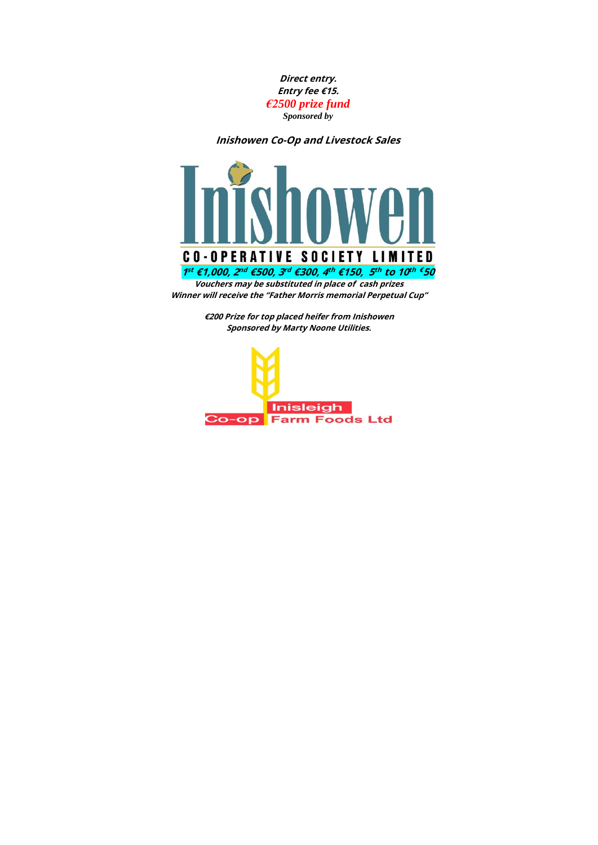

**Inishowen Co-Op and Livestock Sales**



**Winner will receive the "Father Morris memorial Perpetual Cup"**

**€200 Prize for top placed heifer from Inishowen Sponsored by Marty Noone Utilities.**

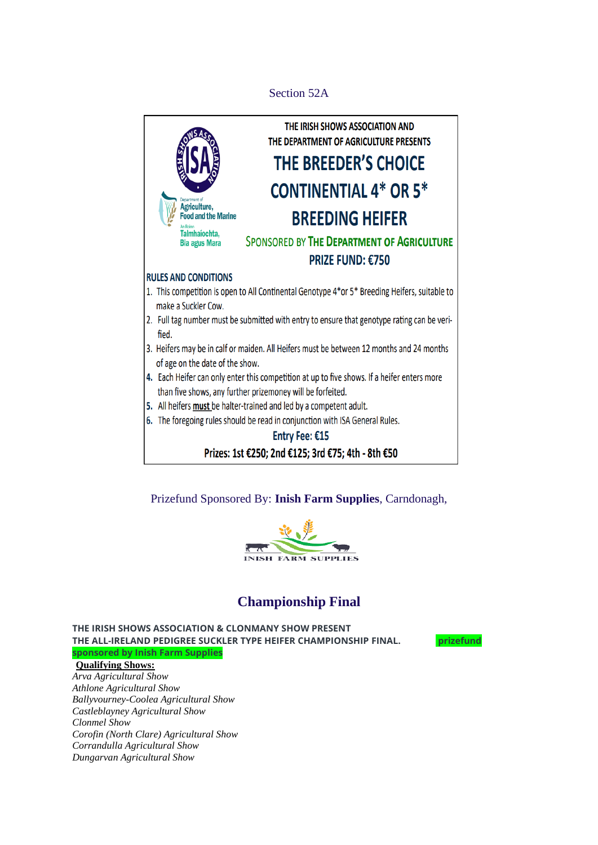### Section 52A



Prizefund Sponsored By: **[Inish Farm Supplies](https://www.irishshows.org/championshipsponsors/inish-farm-supplies)**, Carndonagh,



## **Championship Final**

**THE IRISH SHOWS ASSOCIATION & CLONMANY SHOW PRESENT THE ALL-IRELAND PEDIGREE SUCKLER TYPE HEIFER CHAMPIONSHIP FINAL. prizefund sponsored by Inish Farm Supplies**

**Qualifying Shows:**

*[Arva Agricultural Show](https://www.irishshows.org/irishshowdirectory/8) [Athlone Agricultural Show](https://www.irishshows.org/irishshowdirectory/10) [Ballyvourney-Coolea Agricultural Show](https://www.irishshows.org/irishshowdirectory/26) [Castleblayney Agricultural Show](https://www.irishshows.org/irishshowdirectory/43) [Clonmel Show](https://www.irishshows.org/irishshowdirectory/56) [Corofin \(North Clare\) Agricultural Show](https://www.irishshows.org/irishshowdirectory/60) [Corrandulla Agricultural Show](https://www.irishshows.org/irishshowdirectory/61) [Dungarvan Agricultural Show](https://www.irishshows.org/irishshowdirectory/64)*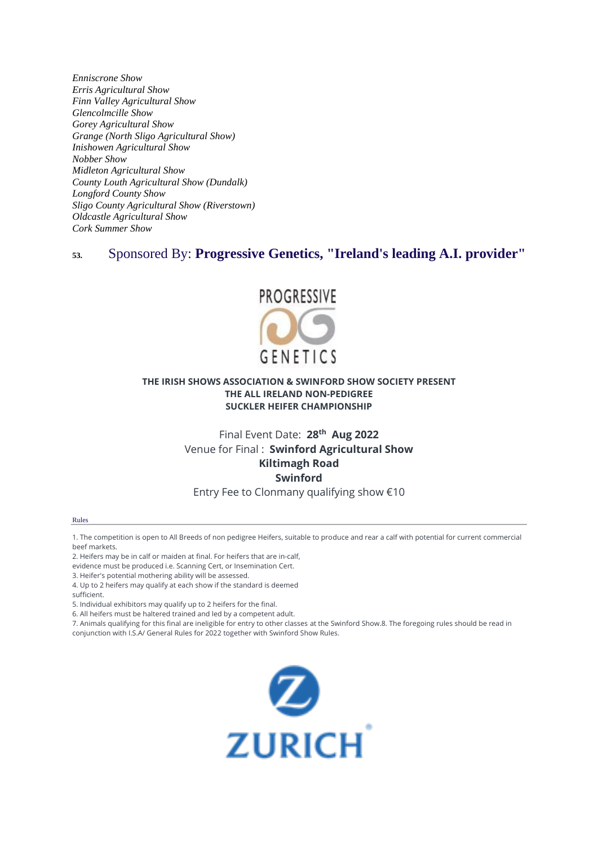*[Enniscrone Show](https://www.irishshows.org/irishshowdirectory/66) [Erris Agricultural Show](https://www.irishshows.org/irishshowdirectory/68) [Finn Valley Agricultural Show](https://www.irishshows.org/irishshowdirectory/70) [Glencolmcille Show](https://www.irishshows.org/irishshowdirectory/75) [Gorey Agricultural Show](https://www.irishshows.org/irishshowdirectory/76) [Grange \(North Sligo Agricultural Show\)](https://www.irishshows.org/irishshowdirectory/79) [Inishowen Agricultural Show](https://www.irishshows.org/irishshowdirectory/80) [Nobber Show](https://www.irishshows.org/irishshowdirectory/90) [Midleton Agricultural Show](https://www.irishshows.org/irishshowdirectory/91) [County Louth Agricultural Show \(Dundalk\)](https://www.irishshows.org/irishshowdirectory/98) [Longford County Show](https://www.irishshows.org/irishshowdirectory/106) [Sligo County Agricultural Show \(Riverstown\)](https://www.irishshows.org/irishshowdirectory/108) [Oldcastle Agricultural Show](https://www.irishshows.org/irishshowdirectory/113) [Cork Summer Show](https://www.irishshows.org/irishshowdirectory/144)*

### **53.** Sponsored By: **[Progressive Genetics, "Ireland's leading A.I. provider"](https://www.irishshows.org/championshipsponsors/progressive-genetics-ireland-s-leading-a-i-provider)**



#### **THE IRISH SHOWS ASSOCIATION & SWINFORD SHOW SOCIETY PRESENT THE ALL IRELAND NON-PEDIGREE SUCKLER HEIFER CHAMPIONSHIP**

## Final Event Date: **28th Aug 2022** Venue for Final : **Swinford Agricultural Show Kiltimagh Road Swinford**

#### Entry Fee to Clonmany qualifying show €10

#### Rules

1. The competition is open to All Breeds of non pedigree Heifers, suitable to produce and rear a calf with potential for current commercial beef markets.

2. Heifers may be in calf or maiden at final. For heifers that are in-calf,

evidence must be produced i.e. Scanning Cert, or Insemination Cert.

3. Heifer's potential mothering ability will be assessed.

4. Up to 2 heifers may qualify at each show if the standard is deemed sufficient.

5. Individual exhibitors may qualify up to 2 heifers for the final.

6. All heifers must be haltered trained and led by a competent adult.

7. Animals qualifying for this final are ineligible for entry to other classes at the Swinford Show.8. The foregoing rules should be read in conjunction with I.S.A/ General Rules for 2022 together with Swinford Show Rules.